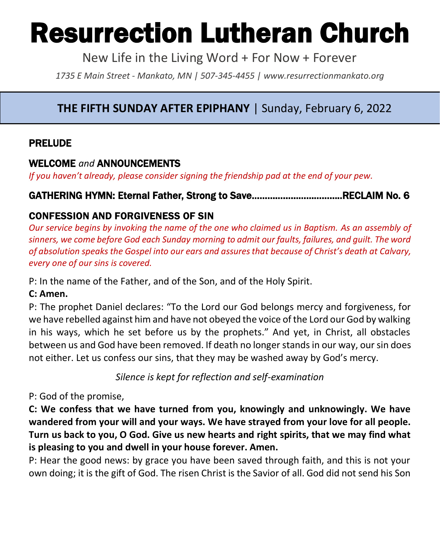# Resurrection Lutheran Church

New Life in the Living Word + For Now + Forever

*1735 E Main Street - Mankato, MN | 507-345-4455 | [www.resurrectionmankato.org](http://www.resurrectionmankato.org/)*

#### *\_\_\_\_\_\_\_\_\_\_\_\_\_\_\_\_\_\_\_\_\_\_\_\_\_\_\_\_\_\_\_\_\_\_\_\_\_\_\_\_\_\_\_\_\_\_\_\_\_\_\_\_\_\_\_\_\_\_\_\_\_\_\_\_\_\_\_\_\_\_\_\_\_\_\_\_\_\_\_ \_\_\_\_\_\_\_\_\_\_\_\_\_\_\_\_\_\_\_\_\_\_\_\_\_\_\_\_\_\_\_\_\_\_\_\_\_\_\_\_\_\_\_\_\_\_\_\_\_\_\_\_\_\_\_\_\_\_\_\_\_\_\_\_\_\_\_\_\_\_\_\_\_\_\_\_\_\_\_* **THE FIFTH SUNDAY AFTER EPIPHANY** | Sunday, February 6, 2022

#### PRELUDE

### WELCOME *and* ANNOUNCEMENTS

*If you haven't already, please consider signing the friendship pad at the end of your pew.* 

### GATHERING HYMN: Eternal Father, Strong to Save……………………………..RECLAIM No. 6

## CONFESSION AND FORGIVENESS OF SIN

*Our service begins by invoking the name of the one who claimed us in Baptism. As an assembly of sinners, we come before God each Sunday morning to admit our faults, failures, and guilt. The word of absolution speaks the Gospel into our ears and assures that because of Christ's death at Calvary, every one of our sins is covered.* 

P: In the name of the Father, and of the Son, and of the Holy Spirit.

#### **C: Amen.**

P: The prophet Daniel declares: "To the Lord our God belongs mercy and forgiveness, for we have rebelled against him and have not obeyed the voice of the Lord our God by walking in his ways, which he set before us by the prophets." And yet, in Christ, all obstacles between us and God have been removed. If death no longer stands in our way, our sin does not either. Let us confess our sins, that they may be washed away by God's mercy.

*Silence is kept for reflection and self-examination*

P: God of the promise,

**C: We confess that we have turned from you, knowingly and unknowingly. We have wandered from your will and your ways. We have strayed from your love for all people. Turn us back to you, O God. Give us new hearts and right spirits, that we may find what is pleasing to you and dwell in your house forever. Amen.**

P: Hear the good news: by grace you have been saved through faith, and this is not your own doing; it is the gift of God. The risen Christ is the Savior of all. God did not send his Son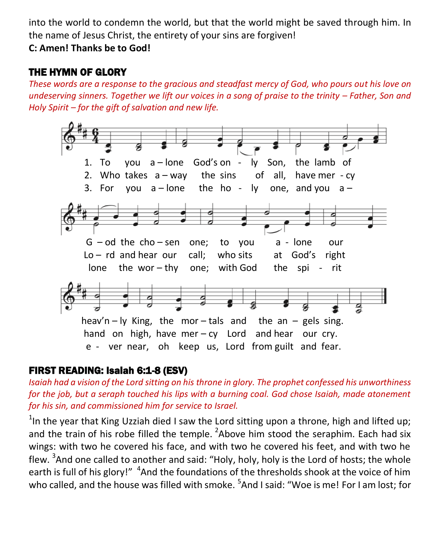into the world to condemn the world, but that the world might be saved through him. In the name of Jesus Christ, the entirety of your sins are forgiven!

**C: Amen! Thanks be to God!** 

## THE HYMN OF GLORY

*These words are a response to the gracious and steadfast mercy of God, who pours out his love on undeserving sinners. Together we lift our voices in a song of praise to the trinity – Father, Son and Holy Spirit – for the gift of salvation and new life.* 



## FIRST READING: Isaiah 6:1-8 (ESV)

*Isaiah had a vision of the Lord sitting on his throne in glory. The prophet confessed his unworthiness for the job, but a seraph touched his lips with a burning coal. God chose Isaiah, made atonement for his sin, and commissioned him for service to Israel.* 

<sup>1</sup>In the year that King Uzziah died I saw the Lord sitting upon a throne, high and lifted up; and the train of his robe filled the temple.  ${}^{2}$ Above him stood the seraphim. Each had six wings: with two he covered his face, and with two he covered his feet, and with two he flew. <sup>3</sup>And one called to another and said: "Holy, holy, holy is the Lord of hosts; the whole earth is full of his glory!" <sup>4</sup>And the foundations of the thresholds shook at the voice of him who called, and the house was filled with smoke. <sup>5</sup>And I said: "Woe is me! For I am lost; for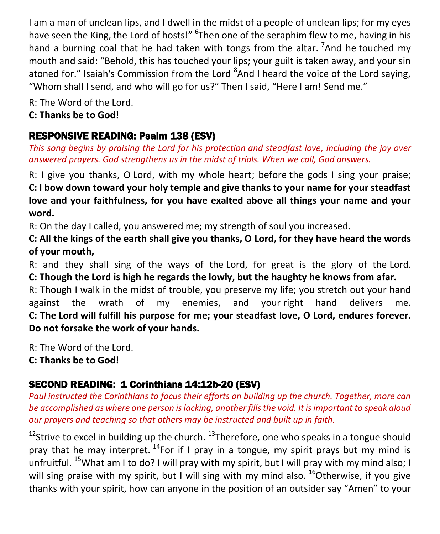I am a man of unclean lips, and I dwell in the midst of a people of unclean lips; for my eyes have seen the King, the Lord of hosts!" <sup>6</sup>Then one of the seraphim flew to me, having in his hand a burning coal that he had taken with tongs from the altar. <sup>7</sup>And he touched my mouth and said: "Behold, this has touched your lips; your guilt is taken away, and your sin atoned for." Isaiah's Commission from the Lord <sup>8</sup>And I heard the voice of the Lord saying, "Whom shall I send, and who will go for us?" Then I said, "Here I am! Send me."

R: The Word of the Lord.

**C: Thanks be to God!** 

## RESPONSIVE READING: Psalm 138 (ESV)

*This song begins by praising the Lord for his protection and steadfast love, including the joy over answered prayers. God strengthens us in the midst of trials. When we call, God answers.* 

R: I give you thanks, O Lord, with my whole heart; before the gods I sing your praise; **C: I bow down toward your holy temple and give thanks to your name for your steadfast love and your faithfulness, for you have exalted above all things your name and your word.**

R: On the day I called, you answered me; my strength of soul you increased.

**C: All the kings of the earth shall give you thanks, O Lord, for they have heard the words of your mouth,**

R: and they shall sing of the ways of the Lord, for great is the glory of the Lord. **C: Though the Lord is high he regards the lowly, but the haughty he knows from afar.**

R: Though I walk in the midst of trouble, you preserve my life; you stretch out your hand against the wrath of my enemies, and your right hand delivers me. **C: The Lord will fulfill his purpose for me; your steadfast love, O Lord, endures forever. Do not forsake the work of your hands.**

R: The Word of the Lord.

**C: Thanks be to God!** 

## SECOND READING: 1 Corinthians 14:12b-20 (ESV)

*Paul instructed the Corinthians to focus their efforts on building up the church. Together, more can be accomplished as where one person is lacking, another fills the void. It is important to speak aloud our prayers and teaching so that others may be instructed and built up in faith.* 

<sup>12</sup>Strive to excel in building up the church.  $^{13}$ Therefore, one who speaks in a tongue should pray that he may interpret.  $^{14}$  For if I pray in a tongue, my spirit prays but my mind is unfruitful. <sup>15</sup>What am I to do? I will pray with my spirit, but I will pray with my mind also; I will sing praise with my spirit, but I will sing with my mind also.  $^{16}$ Otherwise, if you give thanks with your spirit, how can anyone in the position of an outsider say "Amen" to your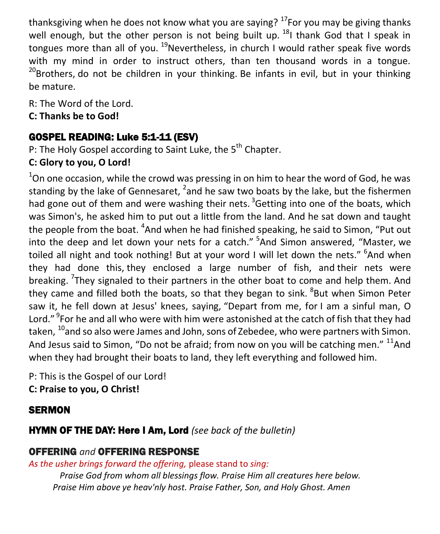thanksgiving when he does not know what you are saying?  $^{17}$  For you may be giving thanks well enough, but the other person is not being built up.  $^{18}$ I thank God that I speak in tongues more than all of you.  $^{19}$ Nevertheless, in church I would rather speak five words with my mind in order to instruct others, than ten thousand words in a tongue. <sup>20</sup>Brothers, do not be children in your thinking. Be infants in evil, but in your thinking be mature.

R: The Word of the Lord.

**C: Thanks be to God!** 

## GOSPEL READING: Luke 5:1-11 (ESV)

P: The Holy Gospel according to Saint Luke, the 5<sup>th</sup> Chapter.

## **C: Glory to you, O Lord!**

 $1$ On one occasion, while the crowd was pressing in on him to hear the word of God, he was standing by the lake of Gennesaret,  $^2$ and he saw two boats by the lake, but the fishermen had gone out of them and were washing their nets.  $3$  Getting into one of the boats, which was Simon's, he asked him to put out a little from the land. And he sat down and taught the people from the boat. <sup>4</sup>And when he had finished speaking, he said to Simon, "Put out into the deep and let down your nets for a catch." <sup>5</sup>And Simon answered, "Master, we toiled all night and took nothing! But at your word I will let down the nets." <sup>6</sup>And when they had done this, they enclosed a large number of fish, and their nets were breaking. <sup>7</sup>They signaled to their partners in the other boat to come and help them. And they came and filled both the boats, so that they began to sink. <sup>8</sup>But when Simon Peter saw it, he fell down at Jesus' knees, saying, "Depart from me, for I am a sinful man, O Lord." <sup>9</sup>For he and all who were with him were astonished at the catch of fish that they had taken, <sup>10</sup>and so also were James and John, sons of Zebedee, who were partners with Simon. And Jesus said to Simon, "Do not be afraid; from now on you will be catching men."  $^{11}$ And when they had brought their boats to land, they left everything and followed him.

P: This is the Gospel of our Lord! **C: Praise to you, O Christ!** 

## **SERMON**

## HYMN OF THE DAY: Here I Am, Lord *(see back of the bulletin)*

## OFFERING *and* OFFERING RESPONSE

*As the usher brings forward the offering,* please stand to *sing:*

*Praise God from whom all blessings flow. Praise Him all creatures here below. Praise Him above ye heav'nly host. Praise Father, Son, and Holy Ghost. Amen*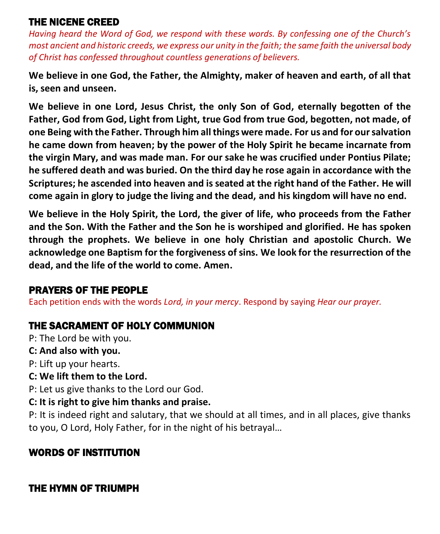## THE NICENE CREED

*Having heard the Word of God, we respond with these words. By confessing one of the Church's most ancient and historic creeds, we express our unity in the faith; the same faith the universal body of Christ has confessed throughout countless generations of believers.* 

**We believe in one God, the Father, the Almighty, maker of heaven and earth, of all that is, seen and unseen.**

**We believe in one Lord, Jesus Christ, the only Son of God, eternally begotten of the Father, God from God, Light from Light, true God from true God, begotten, not made, of one Being with the Father. Through him all things were made. For us and for our salvation he came down from heaven; by the power of the Holy Spirit he became incarnate from the virgin Mary, and was made man. For our sake he was crucified under Pontius Pilate; he suffered death and was buried. On the third day he rose again in accordance with the Scriptures; he ascended into heaven and is seated at the right hand of the Father. He will come again in glory to judge the living and the dead, and his kingdom will have no end.**

**We believe in the Holy Spirit, the Lord, the giver of life, who proceeds from the Father and the Son. With the Father and the Son he is worshiped and glorified. He has spoken through the prophets. We believe in one holy Christian and apostolic Church. We acknowledge one Baptism for the forgiveness of sins. We look for the resurrection of the dead, and the life of the world to come. Amen.**

## PRAYERS OF THE PEOPLE

Each petition ends with the words *Lord, in your mercy*. Respond by saying *Hear our prayer.*

## THE SACRAMENT OF HOLY COMMUNION

P: The Lord be with you.

**C: And also with you.**

P: Lift up your hearts.

**C: We lift them to the Lord.**

P: Let us give thanks to the Lord our God.

**C: It is right to give him thanks and praise.**

P: It is indeed right and salutary, that we should at all times, and in all places, give thanks to you, O Lord, Holy Father, for in the night of his betrayal…

## WORDS OF INSTITUTION

## THE HYMN OF TRIUMPH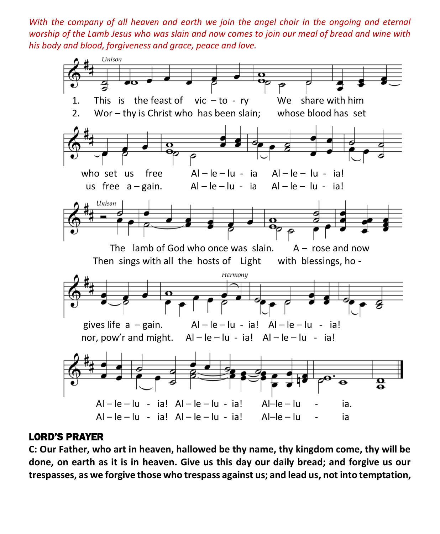*With the company of all heaven and earth we join the angel choir in the ongoing and eternal worship of the Lamb Jesus who was slain and now comes to join our meal of bread and wine with his body and blood, forgiveness and grace, peace and love.* 



#### LORD'S PRAYER

**C: Our Father, who art in heaven, hallowed be thy name, thy kingdom come, thy will be done, on earth as it is in heaven. Give us this day our daily bread; and forgive us our trespasses, as we forgive those who trespass against us; and lead us, not into temptation,**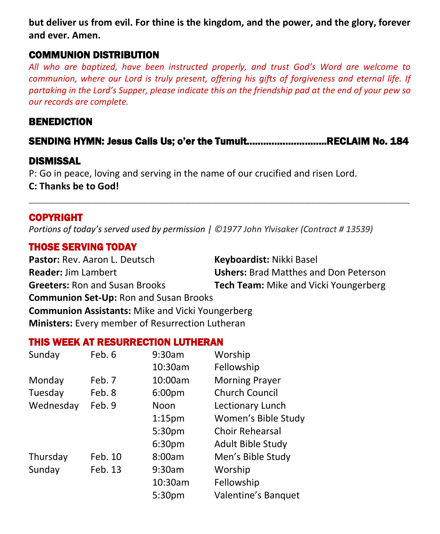**but deliver us from evil. For thine is the kingdom, and the power, and the glory, forever and ever. Amen.**

#### COMMUNION DISTRIBUTION

*All who are baptized, have been instructed properly, and trust God's Word are welcome to communion, where our Lord is truly present, offering his gifts of forgiveness and eternal life. If partaking in the Lord's Supper, please indicate this on the friendship pad at the end of your pew so our records are complete.*

#### BENEDICTION

## SENDING HYMN: Jesus Calls Us; o'er the Tumult………………………..RECLAIM No. 184

**\_\_\_\_\_\_\_\_\_\_\_\_\_\_\_\_\_\_\_\_\_\_\_\_\_\_\_\_\_\_\_\_\_\_\_\_\_\_\_\_\_\_\_\_\_\_\_\_\_\_\_\_\_\_\_\_\_\_\_\_\_\_\_\_\_\_\_\_\_\_\_\_\_**

### DISMISSAL

P: Go in peace, loving and serving in the name of our crucified and risen Lord. **C: Thanks be to God!**

#### COPYRIGHT

*Portions of today's served used by permission | ©1977 John Ylvisaker (Contract # 13539)*

### THOSE SERVING TODAY

**Pastor:** Rev. Aaron L. Deutsch **Keyboardist:** Nikki Basel **Reader:** Jim Lambert **Ushers:** Brad Matthes and Don Peterson **Greeters:** Ron and Susan Brooks **Tech Team:** Mike and Vicki Youngerberg **Communion Set-Up:** Ron and Susan Brooks **Communion Assistants:** Mike and Vicki Youngerberg **Ministers:** Every member of Resurrection Lutheran

#### THIS WEEK AT RESURRECTION LUTHERAN

| Sunday    | Feb. 6  | 9:30am             | Worship                |
|-----------|---------|--------------------|------------------------|
|           |         | 10:30am            | Fellowship             |
| Monday    | Feb. 7  | 10:00am            | <b>Morning Prayer</b>  |
| Tuesday   | Feb. 8  | 6:00pm             | <b>Church Council</b>  |
| Wednesday | Feb. 9  | Noon               | Lectionary Lunch       |
|           |         | 1:15 <sub>pm</sub> | Women's Bible Study    |
|           |         | 5:30pm             | <b>Choir Rehearsal</b> |
|           |         | 6:30pm             | Adult Bible Study      |
| Thursday  | Feb. 10 | 8:00am             | Men's Bible Study      |
| Sunday    | Feb. 13 | 9:30am             | Worship                |
|           |         | 10:30am            | Fellowship             |
|           |         | 5:30 <sub>pm</sub> | Valentine's Banquet    |